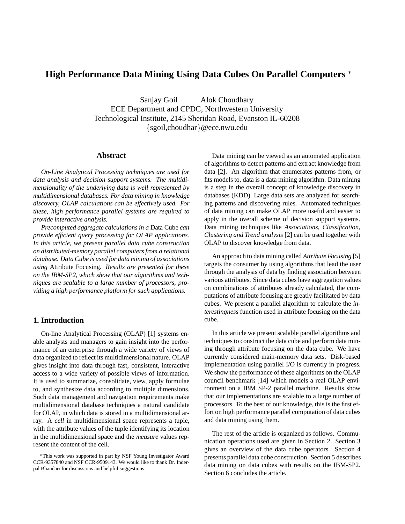# **High Performance Data Mining Using Data Cubes On Parallel Computers**

Sanjay Goil Alok Choudhary ECE Department and CPDC, Northwestern University Technological Institute, 2145 Sheridan Road, Evanston IL-60208  $\{sgoil, choudhar\}$ @ece.nwu.edu

## **Abstract**

*On-Line Analytical Processing techniques are used for data analysis and decision support systems. The multidimensionality of the underlying data is well represented by multidimensional databases. For data mining in knowledge discovery, OLAP calculations can be effectively used. For these, high performance parallel systems are required to provide interactive analysis.*

*Precomputed aggregate calculations in a* Data Cube *can provide efficient query processing for OLAP applications. In this article, we present parallel data cube construction on distributed-memory parallel computers from a relational database. Data Cube is used for data mining of associations using* Attribute Focusing*. Results are presented for these on the IBM-SP2, which show that our algorithms and techniques are scalable to a large number of processors, providing a high performance platform for such applications.*

# **1. Introduction**

On-line Analytical Processing (OLAP) [1] systems enable analysts and managers to gain insight into the performance of an enterprise through a wide variety of views of data organized to reflect its multidimensional nature. OLAP gives insight into data through fast, consistent, interactive access to a wide variety of possible views of information. It is used to summarize, consolidate, view, apply formulae to, and synthesize data according to multiple dimensions. Such data management and navigation requirements make multidimensional database techniques a natural candidate for OLAP, in which data is stored in a multidimensional array. A *cell* in multidimensional space represents a tuple, with the attribute values of the tuple identifying its location in the multidimensional space and the *measure* values represent the content of the cell.

Data mining can be viewed as an automated application of algorithms to detect patterns and extract knowledge from data [2]. An algorithm that enumerates patterns from, or fits models to, data is a data mining algorithm. Data mining is a step in the overall concept of knowledge discovery in databases (KDD). Large data sets are analyzed for searching patterns and discovering rules. Automated techniques of data mining can make OLAP more useful and easier to apply in the overall scheme of decision support systems. Data mining techniques like *Associations, Classification, Clustering and Trend analysis* [2] can be used together with OLAP to discover knowledge from data.

An approach to data mining called *Attribute Focusing* [5] targets the consumer by using algorithms that lead the user through the analysis of data by finding association between various attributes. Since data cubes have aggregation values on combinations of attributes already calculated, the computations of attribute focusing are greatly facilitated by data cubes. We present a parallel algorithm to calculate the *interestingness* function used in attribute focusing on the data cube.

In this article we present scalable parallel algorithms and techniques to construct the data cube and perform data mining through attribute focusing on the data cube. We have currently considered main-memory data sets. Disk-based implementation using parallel I/O is currently in progress. We show the performance of these algorithms on the OLAP council benchmark [14] which models a real OLAP environment on a IBM SP-2 parallel machine. Results show that our implementations are scalable to a large number of processors. To the best of our knowledge, this is the first effort on high performance parallel computation of data cubes and data mining using them.

The rest of the article is organized as follows. Communication operations used are given in Section 2. Section 3 gives an overview of the data cube operators. Section 4 presents parallel data cube construction. Section 5 describes data mining on data cubes with results on the IBM-SP2. Section 6 concludes the article.

This work was supported in part by NSF Young Investigator Award CCR-9357840 and NSF CCR-9509143. We would like to thank Dr. Inderpal Bhandari for discussions and helpful suggestions.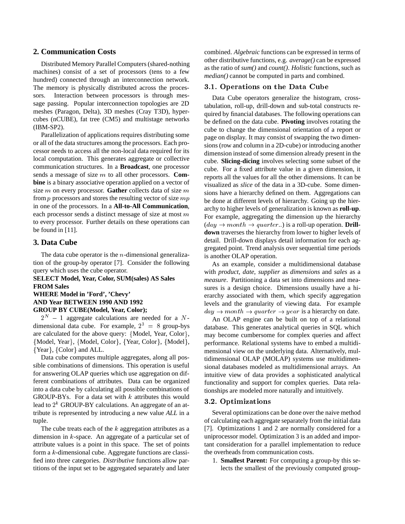# **2. Communication Costs**

Distributed Memory Parallel Computers (shared-nothing machines) consist of a set of processors (tens to a few hundred) connected through an interconnection network. The memory is physically distributed across the processors. Interaction between processors is through message passing. Popular interconnection topologies are 2D meshes (Paragon, Delta), 3D meshes (Cray T3D), hypercubes (nCUBE), fat tree (CM5) and multistage networks (IBM-SP2).

Parallelization of applications requires distributing some or all of the data structures among the processors. Each processor needs to access all the non-local data required for its local computation. This generates aggregate or collective communication structures. In a **Broadcast**, one processor sends a message of size m to all other processors. **Combine** is a binary associative operation applied on a vector of size m on every processor. **Gather** collects data of size m from  $p$  processors and stores the resulting vector of size  $mp$ in one of the processors. In a **All-to-All Communication**, each processor sends a distinct message of size at most m to every processor. Further details on these operations can be found in [11].

# **3. Data Cube**

The data cube operator is the  $n$ -dimensional generalization of the group-by operator [7]. Consider the following query which uses the cube operator.

# **SELECT Model, Year, Color, SUM(sales) AS Sales FROM Sales**

# **WHERE Model in 'Ford', 'Chevy' AND Year BETWEEN 1990 AND 1992 GROUP BY CUBE(Model, Year, Color);**

 $2^N - 1$  aggregate calculations are needed for a Ndimensional data cube. For example,  $2^3 = 8$  group-bys are calculated for the above query: {Model, Year, Color}, {Model, Year}, {Model, Color}, {Year, Color}, {Model},  ${Year}, {Color}$  and ALL.

Data cube computes multiple aggregates, along all possible combinations of dimensions. This operation is useful for answering OLAP queries which use aggregation on different combinations of attributes. Data can be organized into a data cube by calculating all possible combinations of GROUP-BYs. For a data set with  $k$  attributes this would lead to  $2^k$  GROUP-BY calculations. An aggregate of an attribute is represented by introducing a new value *ALL* in a tuple.

The cube treats each of the  $k$  aggregation attributes as a dimension in k-space. An aggregate of a particular set of attribute values is a point in this space. The set of points form a k-dimensional cube. Aggregate functions are classified into three categories. *Distributive* functions allow partitions of the input set to be aggregated separately and later combined. *Algebraic* functions can be expressed in terms of other distributive functions, e.g. *average()* can be expressed as the ratio of *sum()* and *count()*. *Holistic* functions, such as *median()* cannot be computed in parts and combined.

## 3.1. Operations on the Data Cube

Data Cube operators generalize the histogram, crosstabulation, roll-up, drill-down and sub-total constructs required by financial databases. The following operations can be defined on the data cube. **Pivoting** involves rotating the cube to change the dimensional orientation of a report or page on display. It may consist of swapping the two dimensions (row and column in a 2D-cube) or introducing another dimension instead of some dimension already present in the cube. **Slicing-dicing** involves selecting some subset of the cube. For a fixed attribute value in a given dimension, it reports all the values for all the other dimensions. It can be visualized as *slice* of the data in a 3D-cube. Some dimensions have a hierarchy defined on them. Aggregations can be done at different levels of hierarchy. Going up the hierarchy to higher levels of generalization is known as **roll-up**. For example, aggregating the dimension up the hierarchy  $(day \rightarrow month \rightarrow quarter.)$  is a roll-up operation. **Drilldown** traverses the hierarchy from lower to higher levels of detail. Drill-down displays detail information for each aggregated point. Trend analysis over sequential time periods is another OLAP operation.

As an example, consider a multidimensional database with *product*, *date*, *supplier* as *dimensions* and *sales* as a *measure*. Partitioning a data set into dimensions and measures is a design choice. Dimensions usually have a hierarchy associated with them, which specify aggregation levels and the granularity of viewing data. For example  $day \rightarrow month \rightarrow quarter \rightarrow year$  is a hierarchy on date.

An OLAP engine can be built on top of a relational database. This generates analytical queries in SQL which may become cumbersome for complex queries and affect performance. Relational systems have to embed a multidimensional view on the underlying data. Alternatively, multidimensional OLAP (MOLAP) systems use multidimensional databases modeled as multidimensional arrays. An intuitive view of data provides a sophisticated analytical functionality and support for complex queries. Data relationships are modeled more naturally and intuitively.

#### 3.2. Optimizations

Several optimizations can be done over the naive method of calculating each aggregate separately from the initial data [7]. Optimizations 1 and 2 are normally considered for a uniprocessor model. Optimization 3 is an added and important consideration for a parallel implementation to reduce the overheads from communication costs.

1. **Smallest Parent:** For computing a group-by this selects the smallest of the previously computed group-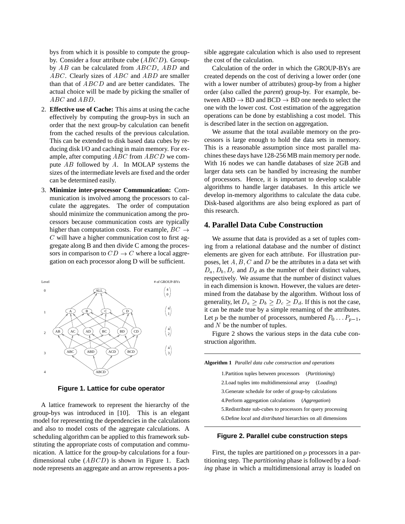bys from which it is possible to compute the groupby. Consider a four attribute cube (ABCD). Groupby AB can be calculated from ABCD, ABD and ABC. Clearly sizes of ABC and ABD are smaller than that of ABCD and are better candidates. The actual choice will be made by picking the smaller of ABC and ABD.

- 2. **Effective use of Cache:** This aims at using the cache effectively by computing the group-bys in such an order that the next group-by calculation can benefit from the cached results of the previous calculation. This can be extended to disk based data cubes by reducing disk I/O and caching in main memory. For example, after computing  $ABC$  from  $ABCD$  we compute  $AB$  followed by  $A$ . In MOLAP systems the sizes of the intermediate levels are fixed and the order can be determined easily.
- 3. **Minimize inter-processor Communication:** Communication is involved among the processors to calculate the aggregates. The order of computation should minimize the communication among the processors because communication costs are typically higher than computation costs. For example,  $BC \rightarrow$  $C$  will have a higher communication cost to first aggregate along B and then divide C among the processors in comparison to  $CD \rightarrow C$  where a local aggregation on each processor along D will be sufficient.



**Figure 1. Lattice for cube operator**

A lattice framework to represent the hierarchy of the group-bys was introduced in [10]. This is an elegant model for representing the dependencies in the calculations and also to model costs of the aggregate calculations. A scheduling algorithm can be applied to this framework substituting the appropriate costs of computation and communication. A lattice for the group-by calculations for a fourdimensional cube  $(ABCD)$  is shown in Figure 1. Each node represents an aggregate and an arrow represents a possible aggregate calculation which is also used to represent the cost of the calculation.

Calculation of the order in which the GROUP-BYs are created depends on the cost of deriving a lower order (one with a lower number of attributes) group-by from a higher order (also called the *parent*) group-by. For example, between  $ABD \rightarrow BD$  and  $BCD \rightarrow BD$  one needs to select the one with the lower cost. Cost estimation of the aggregation operations can be done by establishing a cost model. This is described later in the section on aggregation.

We assume that the total available memory on the processors is large enough to hold the data sets in memory. This is a reasonable assumption since most parallel machines these days have 128-256 MB main memory per node. With 16 nodes we can handle databases of size 2GB and larger data sets can be handled by increasing the number of processors. Hence, it is important to develop scalable algorithms to handle larger databases. In this article we develop in-memory algorithms to calculate the data cube. Disk-based algorithms are also being explored as part of this research.

# **4. Parallel Data Cube Construction**

We assume that data is provided as a set of tuples coming from a relational database and the number of distinct elements are given for each attribute. For illustration purposes, let  $A, B, C$  and  $D$  be the attributes in a data set with  $D_a$ ,  $D_b$ ,  $D_c$  and  $D_d$  as the number of their distinct values, respectively. We assume that the number of distinct values in each dimension is known. However, the values are determined from the database by the algorithm. Without loss of generality, let  $D_a \geq D_b \geq D_c \geq D_d$ . If this is not the case, it can be made true by a simple renaming of the attributes. Let p be the number of processors, numbered  $P_0 \ldots P_{p-1}$ , and  $N$  be the number of tuples.

Figure 2 shows the various steps in the data cube construction algorithm.

| <b>Algorithm 1</b> Parallel data cube construction and operations           |
|-----------------------------------------------------------------------------|
| 1. Partition tuples between processors <i>(Partitioning)</i>                |
| 2. Load tuples into multidimensional array (Loading)                        |
| 3. Generate schedule for order of group-by calculations                     |
| 4. Perform aggregation calculations (Aggregation)                           |
| 5. Redistribute sub-cubes to processors for query processing                |
| 6. Define <i>local</i> and <i>distributed</i> hierarchies on all dimensions |
|                                                                             |

# **Figure 2. Parallel cube construction steps**

First, the tuples are partitioned on  $p$  processors in a partitioning step. The *partitioning* phase is followed by a *loading* phase in which a multidimensional array is loaded on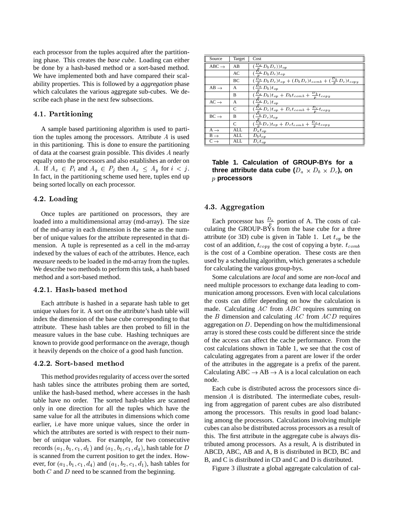each processor from the tuples acquired after the partitioning phase. This creates the *base cube*. Loading can either be done by a hash-based method or a sort-based method. We have implemented both and have compared their scalability properties. This is followed by a *aggregation* phase which calculates the various aggregate sub-cubes. We describe each phase in the next few subsections.

#### 4.1. Partitioning

A sample based partitioning algorithm is used to partition the tuples among the processors. Attribute  $A$  is used in this partitioning. This is done to ensure the partitioning of data at the coarsest grain possible. This divides A nearly equally onto the processors and also establishes an order on A. If  $A_x \in P_i$  and  $A_y \in P_j$  then  $A_x \leq A_y$  for  $i < j$ . In fact, in the partitioning scheme used here, tuples end up being sorted locally on each processor.

#### 4.2. Loading

Once tuples are partitioned on processors, they are loaded into a multidimensional array (md-array). The size of the md-array in each dimension is the same as the number of unique values for the attribute represented in that dimension. A tuple is represented as a cell in the md-array indexed by the values of each of the attributes. Hence, each *measure* needs to be loaded in the md-array from the tuples. We describe two methods to perform this task, a hash based method and a sort-based method.

#### 4.2.1. Hash-based method

Each attribute is hashed in a separate hash table to get unique values for it. A sort on the attribute's hash table will index the dimension of the base cube corresponding to that attribute. These hash tables are then probed to fill in the measure values in the base cube. Hashing techniques are known to provide good performance on the average, though it heavily depends on the choice of a good hash function.

## 4.2.2. Sort-based method

This method provides regularity of access over the sorted hash tables since the attributes probing them are sorted, unlike the hash-based method, where accesses in the hash table have no order. The sorted hash-tables are scanned only in one direction for all the tuples which have the same value for all the attributes in dimensions which come earlier, i.e have more unique values, since the order in which the attributes are sorted is with respect to their number of unique values. For example, for two consecutive records  $(a_1, b_1, c_1, d_1)$  and  $(a_1, b_1, c_1, d_4)$ , hash table for D is scanned from the current position to get the index. However, for  $(a_1, b_1, c_1, d_4)$  and  $(a_1, b_2, c_1, d_1)$ , hash tables for both  $C$  and  $D$  need to be scanned from the beginning.

| Source                  | Target | Cost                                                                            |
|-------------------------|--------|---------------------------------------------------------------------------------|
| $ABC \rightarrow$       | AB     | $\frac{D_a}{p} D_b D_c)) t_{op}$                                                |
|                         | AC     | $\frac{D_a}{r} D_b D_c$ ) $t_{op}$                                              |
|                         | BC     | $(\frac{D_a}{p}D_b D_c)t_{op} + (D_b D_c)t_{comb} + (\frac{D_b}{p}D_c)t_{copy}$ |
| $AB \rightarrow$        | A      | $\frac{D_a}{n}D_b)t_{op}$                                                       |
|                         | B      | $(\frac{D_a}{p}D_b)t_{op} + D_b t_{comb} + \frac{D_b}{p}t_{copy}$               |
| $AC \rightarrow$        | A      | $\frac{D_a}{n}D_c)t_{op}$                                                       |
|                         | C      | $\frac{D_a}{n}D_c)t_{op} + D_c t_{comb} + \frac{D_c}{n}t_{copy}$                |
| $\text{BC} \rightarrow$ | B      | $\frac{D_b}{n}D_c$ ) $t_{op}$                                                   |
|                         | C      | $\frac{D_b}{n} D_c) t_{op} + D_c t_{comb} + \frac{D_c}{p} t_{copy}$             |
| $\mathsf{A}\to$         | AI.    | $D_a t_{op}$                                                                    |
| $B \rightarrow$         | AI.    | $D_b t_{op}$                                                                    |
| $C \rightarrow$         | ALL    | $D_c t_{op}$                                                                    |

**Table 1. Calculation of GROUP-BYs for a** three attribute data cube  $(D_a \times D_b \times D_c)$ , on p **processors**

# 4.3. Aggregation

Each processor has  $\frac{D_a}{p}$  portion of A. The costs of calculating the GROUP-B $\check{Y}$ s from the base cube for a three attribute (or 3D) cube is given in Table 1. Let  $t_{op}$  be the cost of an addition,  $t_{copy}$  the cost of copying a byte.  $t_{comb}$ is the cost of a Combine operation. These costs are then used by a scheduling algorithm, which generates a schedule for calculating the various group-bys.

Some calculations are *local* and some are *non-local* and need multiple processors to exchange data leading to communication among processors. Even with local calculations the costs can differ depending on how the calculation is made. Calculating AC from ABC requires summing on the  $B$  dimension and calculating  $AC$  from  $ACD$  requires aggregation on D. Depending on how the multidimensional array is stored these costs could be different since the stride of the access can affect the cache performance. From the cost calculations shown in Table 1, we see that the cost of calculating aggregates from a parent are lower if the order of the attributes in the aggregate is a prefix of the parent. Calculating  $ABC \rightarrow AB \rightarrow A$  is a local calculation on each node.

Each cube is distributed across the processors since dimension A is distributed. The intermediate cubes, resulting from aggregation of parent cubes are also distributed among the processors. This results in good load balancing among the processors. Calculations involving multiple cubes can also be distributed across processors as a result of this. The first attribute in the aggregate cube is always distributed among processors. As a result, A is distributed in ABCD, ABC, AB and A, B is distributed in BCD, BC and B, and C is distributed in CD and C and D is distributed.

Figure 3 illustrate a global aggregate calculation of cal-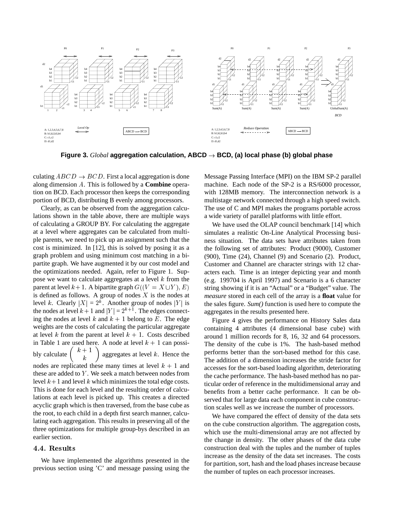

**Figure 3.** *Global* **aggregation calculation, ABCD** ! **BCD, (a) local phase (b) global phase**

culating  $ABCD \rightarrow BCD$ . First a local aggregation is done along dimension A. This is followed by a **Combine** operation on BCD. Each processor then keeps the corresponding portion of BCD, distributing B evenly among processors.

Clearly, as can be observed from the aggregation calcu-

lations shown in the table above, there are multiple ways of calculating a GROUP BY. For calculating the aggregate at a level where aggregates can be calculated from multiple parents, we need to pick up an assignment such that the cost is minimized. In [12], this is solved by posing it as a graph problem and using minimum cost matching in a bipartite graph. We have augmented it by our cost model and the optimizations needed. Again, refer to Figure 1. Suppose we want to calculate aggregates at a level  $k$  from the parent at level  $k + 1$ . A bipartite graph  $G((V = X \cup Y), E)$ is defined as follows. A group of nodes  $X$  is the nodes at level k. Clearly  $|X| = 2^k$ . Another group of nodes  $|Y|$  is the the nodes at level  $k+1$  and  $|Y| = 2^{k+1}$ . The edges connecting the nodes at level k and  $k + 1$  belong to E. The edge weights are the costs of calculating the particular aggregate at level k from the parent at level  $k + 1$ . Costs described in Table 1 are used here. A node at level  $k + 1$  can possibly calculate  $k+1$  $\begin{pmatrix} + & 1 \\ k & \end{pmatrix}$  aggregates at level k. Hence the nodes are replicated these many times at level  $k + 1$  and these are added to  $Y$ . We seek a match between nodes from level  $k+1$  and level k which minimizes the total edge costs. This is done for each level and the resulting order of calculations at each level is picked up. This creates a directed acyclic graph which is then traversed, from the base cube as the root, to each child in a depth first search manner, calculating each aggregation. This results in preserving all of the three optimizations for multiple group-bys described in an earlier section.

#### 4.4. Results

We have implemented the algorithms presented in the previous section using 'C' and message passing using the Message Passing Interface (MPI) on the IBM SP-2 parallel machine. Each node of the SP-2 is a RS/6000 processor, with 128MB memory. The interconnection network is a multistage network connected through a high speed switch. The use of C and MPI makes the programs portable across a wide variety of parallel platforms with little effort.

We have used the OLAP council benchmark [14] which simulates a realistic On-Line Analytical Processing business situation. The data sets have attributes taken from the following set of attributes: Product (9000), Customer (900), Time (24), Channel (9) and Scenario (2). Product, Customer and Channel are character strings with 12 characters each. Time is an integer depicting year and month (e.g. 199704 is April 1997) and Scenario is a 6 character string showing if it is an "Actual" or a "Budget" value. The *measure* stored in each cell of the array is a **float** value for the sales figure. *Sum()* function is used here to compute the aggregates in the results presented here.

Figure 4 gives the performance on History Sales data containing 4 attributes (4 dimensional base cube) with around 1 million records for 8, 16, 32 and 64 processors. The density of the cube is 1%. The hash-based method performs better than the sort-based method for this case. The addition of a dimension increases the stride factor for accesses for the sort-based loading algorithm, deteriorating the cache performance. The hash-based method has no particular order of reference in the multidimensional array and benefits from a better cache performance. It can be observed that for large data each component in cube construction scales well as we increase the number of processors.

We have compared the effect of density of the data sets on the cube construction algorithm. The aggregation costs, which use the multi-dimensional array are not affected by the change in density. The other phases of the data cube construction deal with the tuples and the number of tuples increase as the density of the data set increases. The costs for partition, sort, hash and the load phases increase because the number of tuples on each processor increases.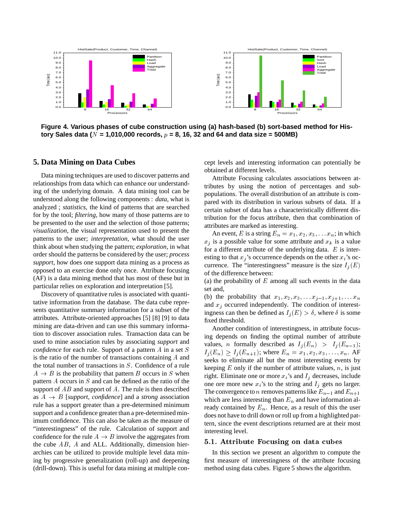

**Figure 4. Various phases of cube construction using (a) hash-based (b) sort-based method for History Sales data (**N **= 1,010,000 records,** p **= 8, 16, 32 and 64 and data size = 500MB)**

## **5. Data Mining on Data Cubes**

Data mining techniques are used to discover patterns and relationships from data which can enhance our understanding of the underlying domain. A data mining tool can be understood along the following components : *data*, what is analyzed ; *statistics*, the kind of patterns that are searched for by the tool; *filtering*, how many of those patterns are to be presented to the user and the selection of those patterns; *visualization*, the visual representation used to present the patterns to the user; *interpretation*, what should the user think about when studying the pattern; *exploration*, in what order should the patterns be considered by the user; *process support*, how does one support data mining as a process as opposed to an exercise done only once. Attribute focusing (AF) is a data mining method that has most of these but in particular relies on exploration and interpretation [5].

Discovery of quantitative rules is associated with quantitative information from the database. The data cube represents quantitative summary information for a subset of the attributes. Attribute-oriented approaches [5] [8] [9] to data mining are data-driven and can use this summary information to discover association rules. Transaction data can be used to mine association rules by associating *support* and *confidence* for each rule. Support of a pattern <sup>A</sup> in a set <sup>S</sup> is the ratio of the number of transactions containing A and the total number of transactions in S. Confidence of a rule  $A \rightarrow B$  is the probability that pattern B occurs in S when pattern A occurs in S and can be defined as the ratio of the support of  $AB$  and support of  $A$ . The rule is then described as  $A \rightarrow B$  [*support, confidence*] and a *strong* association rule has a support greater than a pre-determined minimum support and a confidence greater than a pre-determined minimum confidence. This can also be taken as the measure of "interestingness" of the rule. Calculation of support and confidence for the rule  $A \rightarrow B$  involve the aggregates from the cube  $AB$ ,  $A$  and ALL. Additionally, dimension hierarchies can be utilized to provide multiple level data mining by progressive generalization (roll-up) and deepening (drill-down). This is useful for data mining at multiple concept levels and interesting information can potentially be obtained at different levels.

Attribute Focusing calculates associations between attributes by using the notion of percentages and subpopulations. The overall distribution of an attribute is compared with its distribution in various subsets of data. If a certain subset of data has a characteristically different distribution for the focus attribute, then that combination of attributes are marked as interesting.

An event, E is a string  $E_n = x_1, x_2, x_3, \ldots, x_n$ ; in which  $x_i$  is a possible value for some attribute and  $x_k$  is a value for a different attribute of the underlying data.  $E$  is interesting to that  $x_i$ 's occurrence depends on the other  $x_i$ 's occurrence. The "interestingness" measure is the size  $I_j(E)$ of the difference between:

(a) the probability of  $E$  among all such events in the data set and,

(b) the probability that  $x_1, x_2, x_3, \ldots x_{j-1}, x_{j+1}, \ldots x_n$ and  $x_i$  occurred independently. The condition of interestingness can then be defined as  $I_j(E) > \delta$ , where  $\delta$  is some fixed threshold.

Another condition of interestingness, in attribute focusing depends on finding the optimal number of attribute values, *n* formally described as  $I_i(E_n) > I_i(E_{n-1});$  $I_j(E_n) \geq I_j(E_{n+1})$ ; where  $E_n = x_1, x_2, x_3, \ldots, x_n$ . AF seeks to eliminate all but the most interesting events by keeping  $E$  only if the number of attribute values,  $n$ , is just right. Eliminate one or more  $x_i$ 's and  $I_i$  decreases, include one ore more new  $x_i$ 's to the string and  $I_j$  gets no larger. The convergence to *n* removes patterns like  $E_{n-1}$  and  $E_{n+1}$ which are less interesting than  $E_n$  and have information already contained by  $E_n$ . Hence, as a result of this the user does not have to drill down or roll up from a highlighted pattern, since the event descriptions returned are at their most interesting level.

#### 5.1. Attribute Focusing on data cubes

In this section we present an algorithm to compute the first measure of interestingness of the attribute focusing method using data cubes. Figure 5 shows the algorithm.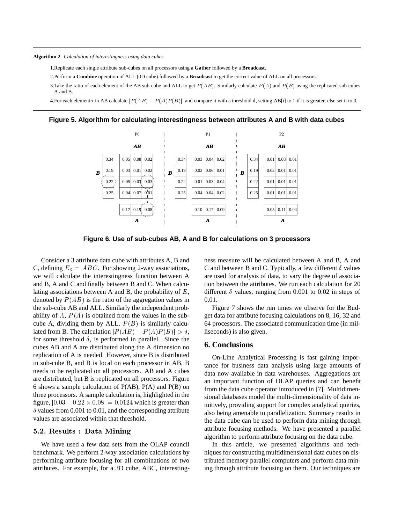**Algorithm 2** *Calculation of interestingness using data cubes*

1.Replicate each single attribute sub-cubes on all processors using a **Gather** followed by a **Broadcast**.

2.Perform a **Combine** operation of ALL (0D cube) followed by a **Broadcast** to get the correct value of ALL on all processors.

3. Take the ratio of each element of the AB sub-cube and ALL to get  $P(AB)$ . Similarly calculate  $P(A)$  and  $P(B)$  using the replicated sub-cubes A and B.

4. For each element i in AB calculate  $|P(AB) - P(A)P(B)|$ , and compare it with a threshold  $\delta$ , setting AB[i] to 1 if it is greater, else set it to 0.

**Figure 5. Algorithm for calculating interestingness between attributes A and B with data cubes**



**Figure 6. Use of sub-cubes AB, A and B for calculations on 3 processors**

Consider a 3 attribute data cube with attributes A, B and C, defining  $E_3 = ABC$ . For showing 2-way associations, we will calculate the interestingness function between A and B, A and C and finally between B and C. When calculating associations between A and B, the probability of  $E$ , denoted by  $P(AB)$  is the ratio of the aggregation values in the sub-cube AB and ALL. Similarly the independent probability of A,  $P(A)$  is obtained from the values in the subcube A, dividing them by ALL.  $P(B)$  is similarly calculated from B. The calculation  $|P(AB) - P(A)P(B)| > \delta$ , for some threshold  $\delta$ , is performed in parallel. Since the cubes AB and A are distributed along the A dimension no replication of A is needed. However, since B is distributed in sub-cube B, and B is local on each processor in AB, B needs to be replicated on all processors. AB and A cubes are distributed, but B is replicated on all processors. Figure 6 shows a sample calculation of P(AB), P(A) and P(B) on three processors. A sample calculation is, highlighted in the figure,  $|0.03 - 0.22 \times 0.08| = 0.0124$  which is greater than  $\delta$  values from 0.001 to 0.01, and the corresponding attribute values are associated within that threshold.

### 5.2. Results : Data Mining

We have used a few data sets from the OLAP council benchmark. We perform 2-way association calculations by performing attribute focusing for all combinations of two attributes. For example, for a 3D cube, ABC, interestingness measure will be calculated between A and B, A and C and between B and C. Typically, a few different  $\delta$  values are used for analysis of data, to vary the degree of association between the attributes. We run each calculation for 20 different  $\delta$  values, ranging from 0.001 to 0.02 in steps of 0.01.

Figure 7 shows the run times we observe for the Budget data for attribute focusing calculations on 8, 16, 32 and 64 processors. The associated communication time (in milliseconds) is also given.

# **6. Conclusions**

On-Line Analytical Processing is fast gaining importance for business data analysis using large amounts of data now available in data warehouses. Aggregations are an important function of OLAP queries and can benefit from the data cube operator introduced in [7]. Multidimensional databases model the multi-dimensionality of data intuitively, providing support for complex analytical queries, also being amenable to parallelization. Summary results in the data cube can be used to perform data mining through attribute focusing methods. We have presented a parallel algorithm to perform attribute focusing on the data cube.

In this article, we presented algorithms and techniques for constructing multidimensional data cubes on distributed memory parallel computers and perform data mining through attribute focusing on them. Our techniques are